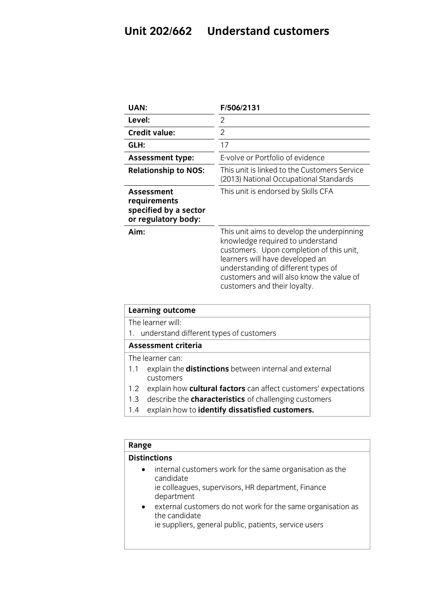## **Unit 202/662 Understand customers**

| UAN:                                                                              | F/506/2131                                                                                                                                                                                                                                                                        |
|-----------------------------------------------------------------------------------|-----------------------------------------------------------------------------------------------------------------------------------------------------------------------------------------------------------------------------------------------------------------------------------|
| Level:                                                                            | 2                                                                                                                                                                                                                                                                                 |
| <b>Credit value:</b>                                                              | $\overline{2}$                                                                                                                                                                                                                                                                    |
| GLH:                                                                              | 17                                                                                                                                                                                                                                                                                |
| <b>Assessment type:</b>                                                           | E-volve or Portfolio of evidence                                                                                                                                                                                                                                                  |
| <b>Relationship to NOS:</b>                                                       | This unit is linked to the Customers Service<br>(2013) National Occupational Standards                                                                                                                                                                                            |
| <b>Assessment</b><br>requirements<br>specified by a sector<br>or regulatory body: | This unit is endorsed by Skills CFA                                                                                                                                                                                                                                               |
| Aim:                                                                              | This unit aims to develop the underpinning<br>knowledge required to understand<br>customers. Upon completion of this unit,<br>learners will have developed an<br>understanding of different types of<br>customers and will also know the value of<br>customers and their loyalty. |

| <b>Learning outcome</b> |                                                                            |  |
|-------------------------|----------------------------------------------------------------------------|--|
|                         | The learner will:                                                          |  |
|                         | 1. understand different types of customers                                 |  |
|                         | <b>Assessment criteria</b>                                                 |  |
|                         | The learner can:                                                           |  |
| 1.1                     | explain the <b>distinctions</b> between internal and external<br>customers |  |
| 1.2                     | explain how cultural factors can affect customers' expectations            |  |
| 1.3                     | describe the <b>characteristics</b> of challenging customers               |  |
| 1.4                     | explain how to identify dissatisfied customers.                            |  |
|                         |                                                                            |  |
|                         |                                                                            |  |

| Range                  |                                                                                                                                                                                                                                                                                    |  |
|------------------------|------------------------------------------------------------------------------------------------------------------------------------------------------------------------------------------------------------------------------------------------------------------------------------|--|
| <b>Distinctions</b>    |                                                                                                                                                                                                                                                                                    |  |
| $\bullet$<br>$\bullet$ | internal customers work for the same organisation as the<br>candidate<br>ie colleagues, supervisors, HR department, Finance<br>department<br>external customers do not work for the same organisation as<br>the candidate<br>ie suppliers, general public, patients, service users |  |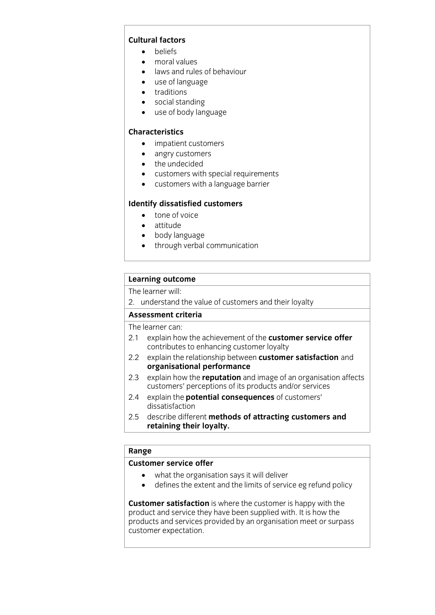### Cultural factors

- **c** beliefs
	- moral values
	- laws and rules of behaviour<br>• use of language
	- use of language
	- traditions
	- social standing
	- use of body language

- **CHARACTERISTICS**<br> **CONSIDERED PROT**UCLISTOMERS
	- angry customers
	- the undecided
	- customers with special requirements
	- customers with a language barrier

- **I** tone of voice
	- attitude
	- body language
	- through verbal communication

# **Learning outcome**<br>The learner will:

The results: This  $\frac{1}{2}$ . understand the value of customers and the value of customers and the value of customers and the value of customers and the value of customers and the value of customers and the value of customers and the value

The learner can:

- 2.1 explain how the achievement of the customer service offer contributes to enhancing customer loyalty
- explain the relationship between customer satisfaction and 2.2 explain the relationship betwee<br>**organisational performance**
- explain how the **reputation** and image of an organisation affects  $2.3$ customers' perceptions of its products and/or services
- explain the **potential consequences** of customers'  $2.4$ dissatisfaction
- 2.5 describe different methods of attracting customers and 2.5 describe different **methods of attracting customers and retaining their loyalty.**

# **Range**

- **Customer Service of the organisation says it will deliver**<br> **Customer service of the service of service of services** 
	- defines the extent and the limits of service eg refund policy

**Customer satisfaction** is where the customer is happy with the product and service they have been supplied with. It is how the products and services provided by an organisation meet or surpass customer expectation. customer expectation.